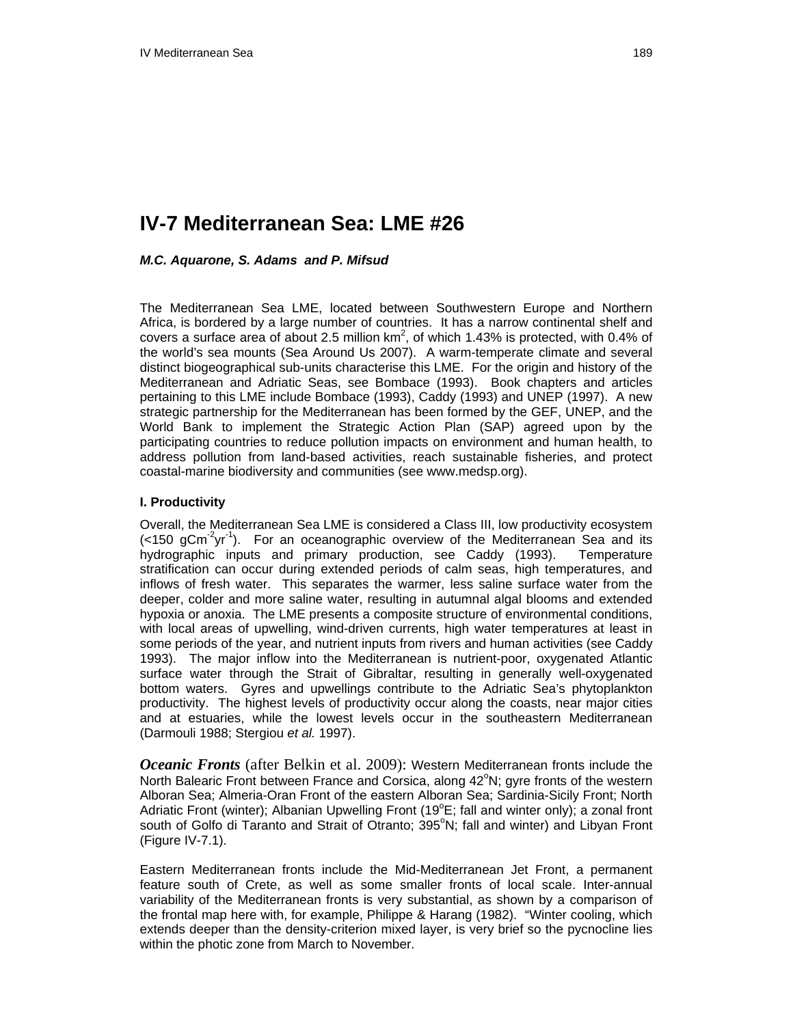# **IV-7 Mediterranean Sea: LME #26**

### *M.C. Aquarone, S. Adams and P. Mifsud*

The Mediterranean Sea LME, located between Southwestern Europe and Northern Africa, is bordered by a large number of countries. It has a narrow continental shelf and covers a surface area of about 2.5 million  $km^2$ , of which 1.43% is protected, with 0.4% of the world's sea mounts (Sea Around Us 2007). A warm-temperate climate and several distinct biogeographical sub-units characterise this LME. For the origin and history of the Mediterranean and Adriatic Seas, see Bombace (1993). Book chapters and articles pertaining to this LME include Bombace (1993), Caddy (1993) and UNEP (1997). A new strategic partnership for the Mediterranean has been formed by the GEF, UNEP, and the World Bank to implement the Strategic Action Plan (SAP) agreed upon by the participating countries to reduce pollution impacts on environment and human health, to address pollution from land-based activities, reach sustainable fisheries, and protect coastal-marine biodiversity and communities (see www.medsp.org).

#### **I. Productivity**

Overall, the Mediterranean Sea LME is considered a Class III, low productivity ecosystem  $\left($  <150 gCm<sup>-2</sup>yr<sup>-1</sup>). For an oceanographic overview of the Mediterranean Sea and its hydrographic inputs and primary production, see Caddy (1993). Temperature stratification can occur during extended periods of calm seas, high temperatures, and inflows of fresh water. This separates the warmer, less saline surface water from the deeper, colder and more saline water, resulting in autumnal algal blooms and extended hypoxia or anoxia. The LME presents a composite structure of environmental conditions, with local areas of upwelling, wind-driven currents, high water temperatures at least in some periods of the year, and nutrient inputs from rivers and human activities (see Caddy 1993). The major inflow into the Mediterranean is nutrient-poor, oxygenated Atlantic surface water through the Strait of Gibraltar, resulting in generally well-oxygenated bottom waters. Gyres and upwellings contribute to the Adriatic Sea's phytoplankton productivity. The highest levels of productivity occur along the coasts, near major cities and at estuaries, while the lowest levels occur in the southeastern Mediterranean (Darmouli 1988; Stergiou *et al.* 1997).

*Oceanic Fronts* (after Belkin et al. 2009): Western Mediterranean fronts include the North Balearic Front between France and Corsica, along 42°N; gyre fronts of the western Alboran Sea; Almeria-Oran Front of the eastern Alboran Sea; Sardinia-Sicily Front; North Adriatic Front (winter); Albanian Upwelling Front (19 $^{\circ}$ E; fall and winter only); a zonal front south of Golfo di Taranto and Strait of Otranto; 395°N; fall and winter) and Libyan Front (Figure IV-7.1).

Eastern Mediterranean fronts include the Mid-Mediterranean Jet Front, a permanent feature south of Crete, as well as some smaller fronts of local scale. Inter-annual variability of the Mediterranean fronts is very substantial, as shown by a comparison of the frontal map here with, for example, Philippe & Harang (1982). "Winter cooling, which extends deeper than the density-criterion mixed layer, is very brief so the pycnocline lies within the photic zone from March to November.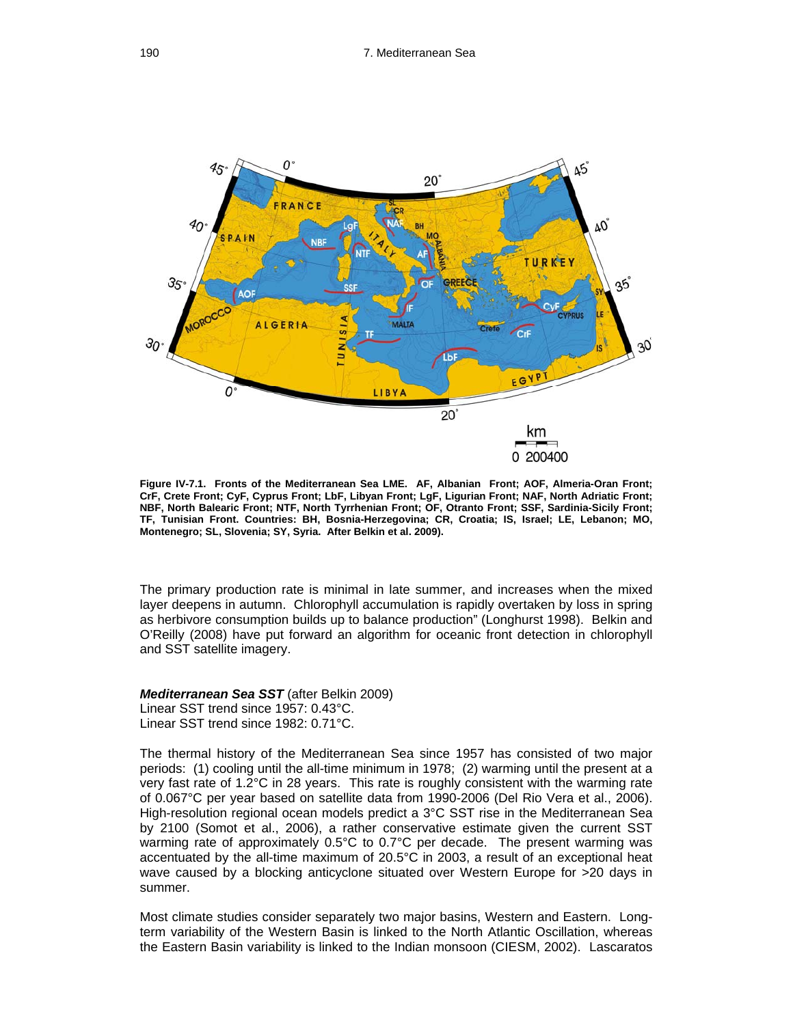

**Figure IV-7.1. Fronts of the Mediterranean Sea LME. AF, Albanian Front; AOF, Almeria-Oran Front; CrF, Crete Front; CyF, Cyprus Front; LbF, Libyan Front; LgF, Ligurian Front; NAF, North Adriatic Front; NBF, North Balearic Front; NTF, North Tyrrhenian Front; OF, Otranto Front; SSF, Sardinia-Sicily Front; TF, Tunisian Front. Countries: BH, Bosnia-Herzegovina; CR, Croatia; IS, Israel; LE, Lebanon; MO, Montenegro; SL, Slovenia; SY, Syria. After Belkin et al. 2009).** 

The primary production rate is minimal in late summer, and increases when the mixed layer deepens in autumn. Chlorophyll accumulation is rapidly overtaken by loss in spring as herbivore consumption builds up to balance production" (Longhurst 1998). Belkin and O'Reilly (2008) have put forward an algorithm for oceanic front detection in chlorophyll and SST satellite imagery.

*Mediterranean Sea SST* (after Belkin 2009) Linear SST trend since 1957: 0.43°C. Linear SST trend since 1982: 0.71°C.

The thermal history of the Mediterranean Sea since 1957 has consisted of two major periods: (1) cooling until the all-time minimum in 1978; (2) warming until the present at a very fast rate of 1.2°C in 28 years. This rate is roughly consistent with the warming rate of 0.067°C per year based on satellite data from 1990-2006 (Del Rio Vera et al., 2006). High-resolution regional ocean models predict a 3°C SST rise in the Mediterranean Sea by 2100 (Somot et al., 2006), a rather conservative estimate given the current SST warming rate of approximately 0.5°C to 0.7°C per decade. The present warming was accentuated by the all-time maximum of 20.5°C in 2003, a result of an exceptional heat wave caused by a blocking anticyclone situated over Western Europe for >20 days in summer.

Most climate studies consider separately two major basins, Western and Eastern. Longterm variability of the Western Basin is linked to the North Atlantic Oscillation, whereas the Eastern Basin variability is linked to the Indian monsoon (CIESM, 2002). Lascaratos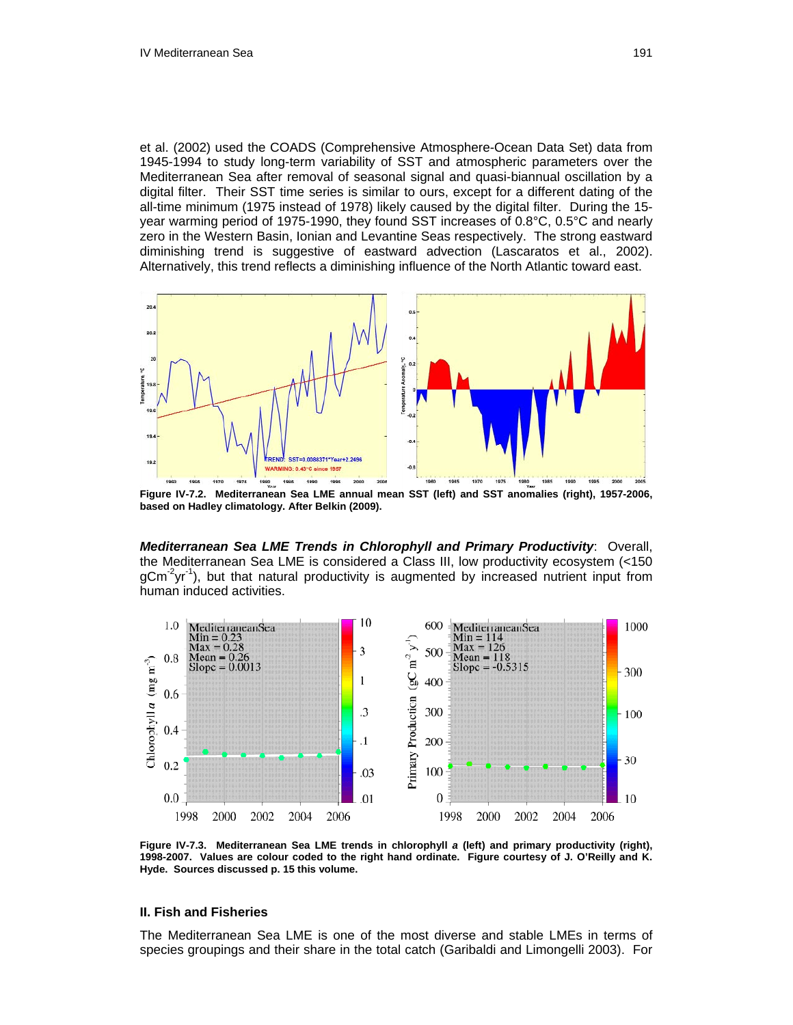et al. (2002) used the COADS (Comprehensive Atmosphere-Ocean Data Set) data from 1945-1994 to study long-term variability of SST and atmospheric parameters over the Mediterranean Sea after removal of seasonal signal and quasi-biannual oscillation by a digital filter. Their SST time series is similar to ours, except for a different dating of the all-time minimum (1975 instead of 1978) likely caused by the digital filter. During the 15 year warming period of 1975-1990, they found SST increases of 0.8°C, 0.5°C and nearly zero in the Western Basin, Ionian and Levantine Seas respectively. The strong eastward diminishing trend is suggestive of eastward advection (Lascaratos et al., 2002). Alternatively, this trend reflects a diminishing influence of the North Atlantic toward east.



**Figure IV-7.2. Mediterranean Sea LME annual mean SST (left) and SST anomalies (right), 1957-2006, based on Hadley climatology. After Belkin (2009).** 

*Mediterranean Sea LME Trends in Chlorophyll and Primary Productivity*: Overall, the Mediterranean Sea LME is considered a Class III, low productivity ecosystem (<150  $qCm^2yr^{-1}$ , but that natural productivity is augmented by increased nutrient input from human induced activities.



**Figure IV-7.3. Mediterranean Sea LME trends in chlorophyll** *a* **(left) and primary productivity (right), 1998-2007. Values are colour coded to the right hand ordinate. Figure courtesy of J. O'Reilly and K. Hyde. Sources discussed p. 15 this volume.** 

#### **II. Fish and Fisheries**

The Mediterranean Sea LME is one of the most diverse and stable LMEs in terms of species groupings and their share in the total catch (Garibaldi and Limongelli 2003). For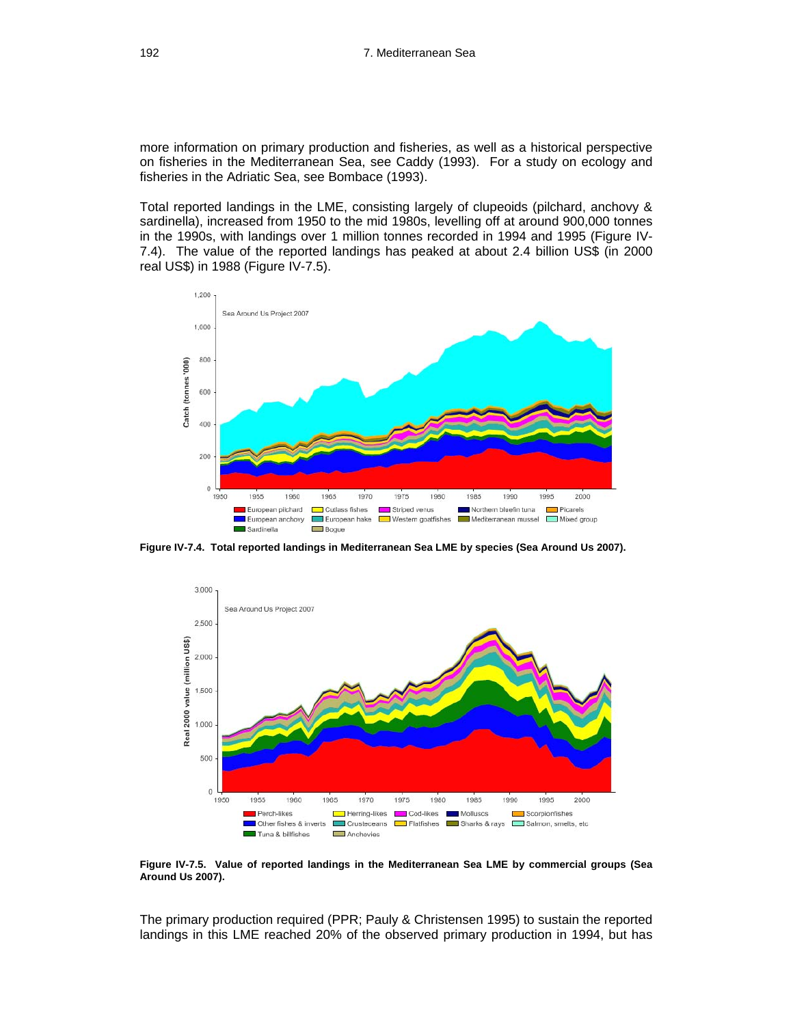more information on primary production and fisheries, as well as a historical perspective on fisheries in the Mediterranean Sea, see Caddy (1993). For a study on ecology and fisheries in the Adriatic Sea, see Bombace (1993).

Total reported landings in the LME, consisting largely of clupeoids (pilchard, anchovy & sardinella), increased from 1950 to the mid 1980s, levelling off at around 900,000 tonnes in the 1990s, with landings over 1 million tonnes recorded in 1994 and 1995 (Figure IV-7.4). The value of the reported landings has peaked at about 2.4 billion US\$ (in 2000 real US\$) in 1988 (Figure IV-7.5).



**Figure IV-7.4. Total reported landings in Mediterranean Sea LME by species (Sea Around Us 2007).** 



**Figure IV-7.5. Value of reported landings in the Mediterranean Sea LME by commercial groups (Sea Around Us 2007).** 

The primary production required (PPR; Pauly & Christensen 1995) to sustain the reported landings in this LME reached 20% of the observed primary production in 1994, but has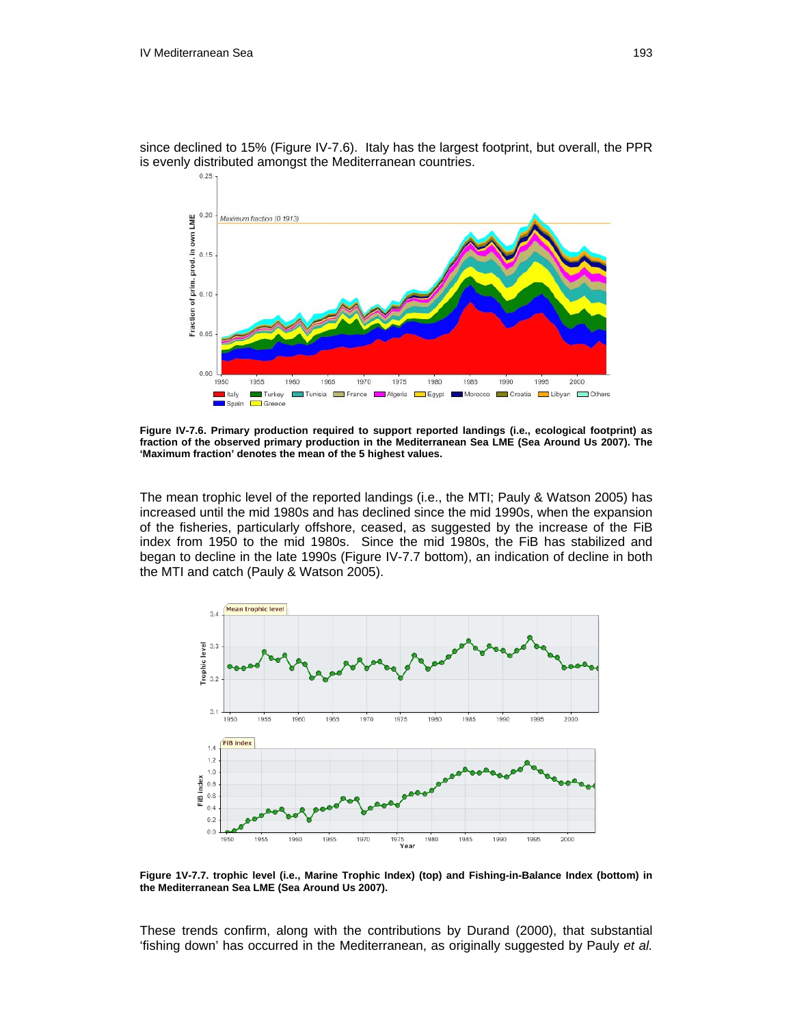since declined to 15% (Figure IV-7.6). Italy has the largest footprint, but overall, the PPR is evenly distributed amongst the Mediterranean countries.<br> $\frac{0.25}{1}$ 



**Figure IV-7.6. Primary production required to support reported landings (i.e., ecological footprint) as fraction of the observed primary production in the Mediterranean Sea LME (Sea Around Us 2007). The 'Maximum fraction' denotes the mean of the 5 highest values.** 

The mean trophic level of the reported landings (i.e., the MTI; Pauly & Watson 2005) has increased until the mid 1980s and has declined since the mid 1990s, when the expansion of the fisheries, particularly offshore, ceased, as suggested by the increase of the FiB index from 1950 to the mid 1980s. Since the mid 1980s, the FiB has stabilized and began to decline in the late 1990s (Figure IV-7.7 bottom), an indication of decline in both the MTI and catch (Pauly & Watson 2005).



**Figure 1V-7.7. trophic level (i.e., Marine Trophic Index) (top) and Fishing-in-Balance Index (bottom) in the Mediterranean Sea LME (Sea Around Us 2007).** 

These trends confirm, along with the contributions by Durand (2000), that substantial 'fishing down' has occurred in the Mediterranean, as originally suggested by Pauly *et al.*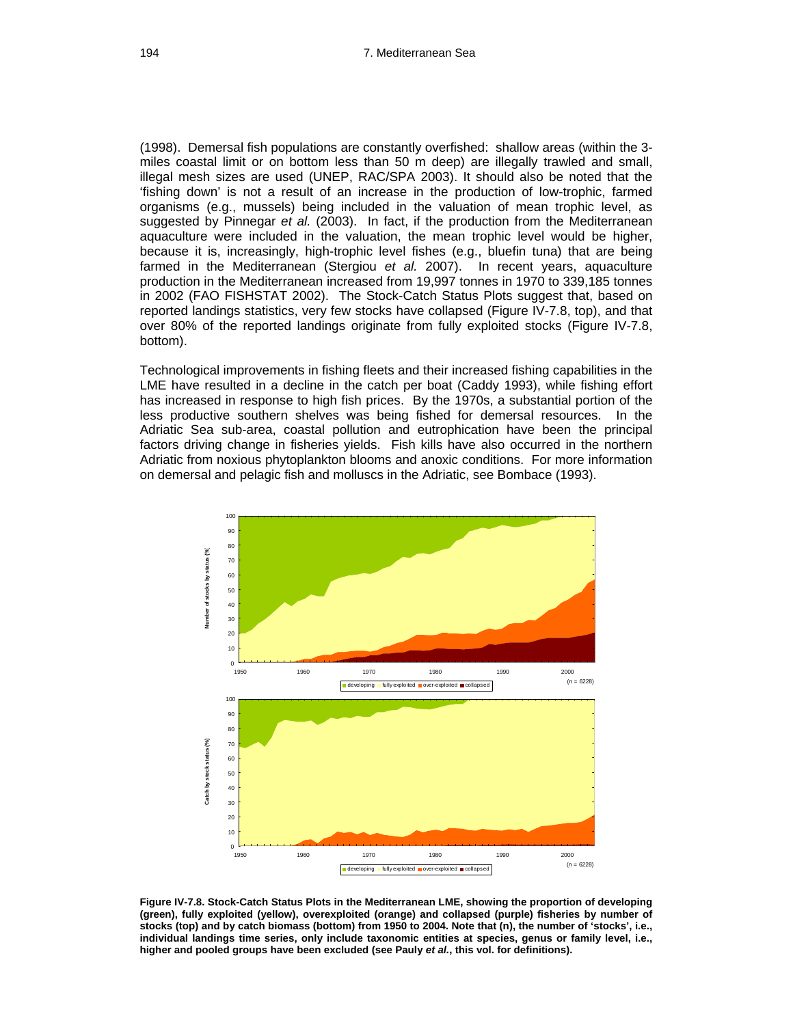(1998). Demersal fish populations are constantly overfished: shallow areas (within the 3 miles coastal limit or on bottom less than 50 m deep) are illegally trawled and small, illegal mesh sizes are used (UNEP, RAC/SPA 2003). It should also be noted that the 'fishing down' is not a result of an increase in the production of low-trophic, farmed organisms (e.g., mussels) being included in the valuation of mean trophic level, as suggested by Pinnegar *et al.* (2003). In fact, if the production from the Mediterranean aquaculture were included in the valuation, the mean trophic level would be higher, because it is, increasingly, high-trophic level fishes (e.g., bluefin tuna) that are being farmed in the Mediterranean (Stergiou *et al.* 2007). In recent years, aquaculture production in the Mediterranean increased from 19,997 tonnes in 1970 to 339,185 tonnes in 2002 (FAO FISHSTAT 2002). The Stock-Catch Status Plots suggest that, based on reported landings statistics, very few stocks have collapsed (Figure IV-7.8, top), and that over 80% of the reported landings originate from fully exploited stocks (Figure IV-7.8, bottom).

Technological improvements in fishing fleets and their increased fishing capabilities in the LME have resulted in a decline in the catch per boat (Caddy 1993), while fishing effort has increased in response to high fish prices. By the 1970s, a substantial portion of the less productive southern shelves was being fished for demersal resources. In the Adriatic Sea sub-area, coastal pollution and eutrophication have been the principal factors driving change in fisheries yields. Fish kills have also occurred in the northern Adriatic from noxious phytoplankton blooms and anoxic conditions. For more information on demersal and pelagic fish and molluscs in the Adriatic, see Bombace (1993).



**Figure IV-7.8. Stock-Catch Status Plots in the Mediterranean LME, showing the proportion of developing (green), fully exploited (yellow), overexploited (orange) and collapsed (purple) fisheries by number of stocks (top) and by catch biomass (bottom) from 1950 to 2004. Note that (n), the number of 'stocks', i.e., individual landings time series, only include taxonomic entities at species, genus or family level, i.e., higher and pooled groups have been excluded (see Pauly** *et al.***, this vol. for definitions).**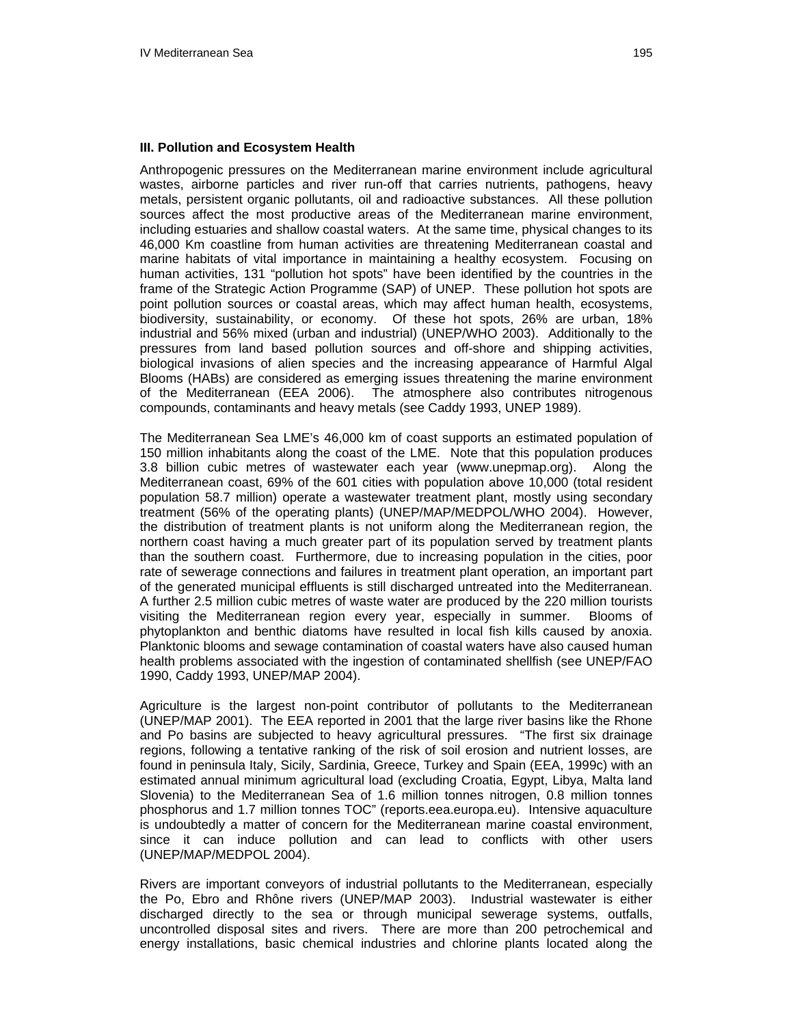#### **III. Pollution and Ecosystem Health**

Anthropogenic pressures on the Mediterranean marine environment include agricultural wastes, airborne particles and river run-off that carries nutrients, pathogens, heavy metals, persistent organic pollutants, oil and radioactive substances. All these pollution sources affect the most productive areas of the Mediterranean marine environment, including estuaries and shallow coastal waters. At the same time, physical changes to its 46,000 Km coastline from human activities are threatening Mediterranean coastal and marine habitats of vital importance in maintaining a healthy ecosystem. Focusing on human activities, 131 "pollution hot spots" have been identified by the countries in the frame of the Strategic Action Programme (SAP) of UNEP. These pollution hot spots are point pollution sources or coastal areas, which may affect human health, ecosystems, biodiversity, sustainability, or economy. Of these hot spots, 26% are urban, 18% industrial and 56% mixed (urban and industrial) (UNEP/WHO 2003). Additionally to the pressures from land based pollution sources and off-shore and shipping activities, biological invasions of alien species and the increasing appearance of Harmful Algal Blooms (HABs) are considered as emerging issues threatening the marine environment of the Mediterranean (EEA 2006). The atmosphere also contributes nitrogenous compounds, contaminants and heavy metals (see Caddy 1993, UNEP 1989).

The Mediterranean Sea LME's 46,000 km of coast supports an estimated population of 150 million inhabitants along the coast of the LME. Note that this population produces 3.8 billion cubic metres of wastewater each year (www.unepmap.org). Along the Mediterranean coast, 69% of the 601 cities with population above 10,000 (total resident population 58.7 million) operate a wastewater treatment plant, mostly using secondary treatment (56% of the operating plants) (UNEP/MAP/MEDPOL/WHO 2004). However, the distribution of treatment plants is not uniform along the Mediterranean region, the northern coast having a much greater part of its population served by treatment plants than the southern coast. Furthermore, due to increasing population in the cities, poor rate of sewerage connections and failures in treatment plant operation, an important part of the generated municipal effluents is still discharged untreated into the Mediterranean. A further 2.5 million cubic metres of waste water are produced by the 220 million tourists visiting the Mediterranean region every year, especially in summer. Blooms of phytoplankton and benthic diatoms have resulted in local fish kills caused by anoxia. Planktonic blooms and sewage contamination of coastal waters have also caused human health problems associated with the ingestion of contaminated shellfish (see UNEP/FAO 1990, Caddy 1993, UNEP/MAP 2004).

Agriculture is the largest non-point contributor of pollutants to the Mediterranean (UNEP/MAP 2001). The EEA reported in 2001 that the large river basins like the Rhone and Po basins are subjected to heavy agricultural pressures. "The first six drainage regions, following a tentative ranking of the risk of soil erosion and nutrient losses, are found in peninsula Italy, Sicily, Sardinia, Greece, Turkey and Spain (EEA, 1999c) with an estimated annual minimum agricultural load (excluding Croatia, Egypt, Libya, Malta land Slovenia) to the Mediterranean Sea of 1.6 million tonnes nitrogen, 0.8 million tonnes phosphorus and 1.7 million tonnes TOC" (reports.eea.europa.eu). Intensive aquaculture is undoubtedly a matter of concern for the Mediterranean marine coastal environment, since it can induce pollution and can lead to conflicts with other users (UNEP/MAP/MEDPOL 2004).

Rivers are important conveyors of industrial pollutants to the Mediterranean, especially the Po, Ebro and Rhône rivers (UNEP/MAP 2003). Industrial wastewater is either discharged directly to the sea or through municipal sewerage systems, outfalls, uncontrolled disposal sites and rivers. There are more than 200 petrochemical and energy installations, basic chemical industries and chlorine plants located along the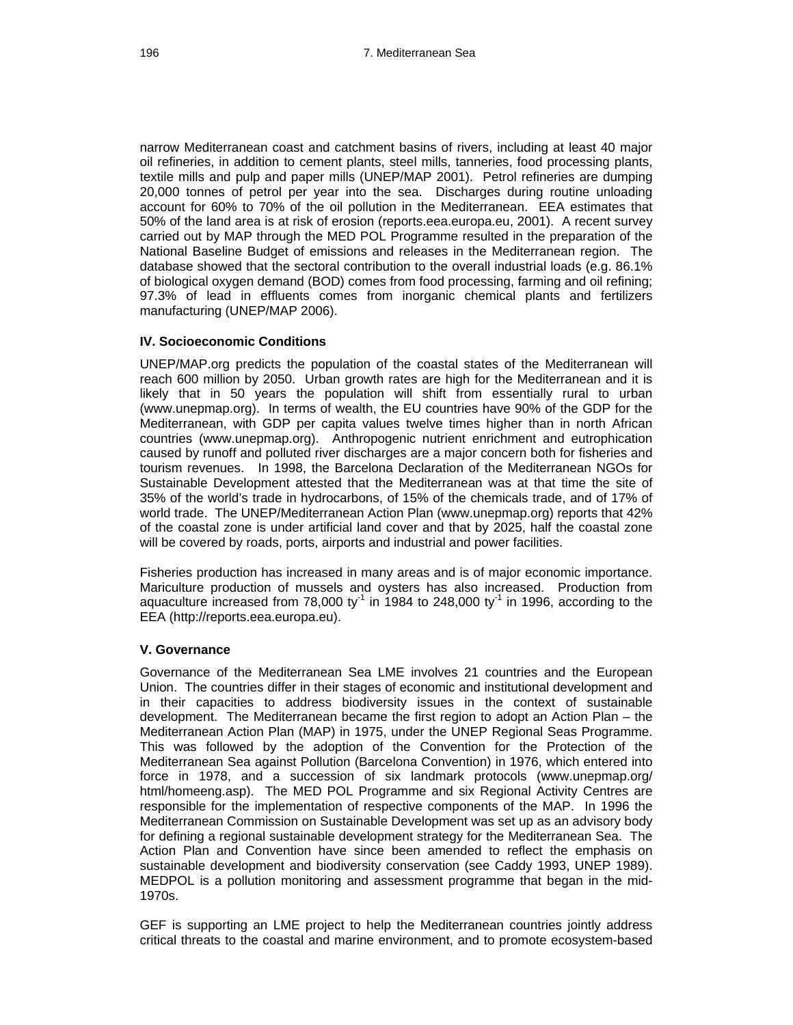narrow Mediterranean coast and catchment basins of rivers, including at least 40 major oil refineries, in addition to cement plants, steel mills, tanneries, food processing plants, textile mills and pulp and paper mills (UNEP/MAP 2001). Petrol refineries are dumping 20,000 tonnes of petrol per year into the sea. Discharges during routine unloading account for 60% to 70% of the oil pollution in the Mediterranean. EEA estimates that 50% of the land area is at risk of erosion (reports.eea.europa.eu, 2001). A recent survey carried out by MAP through the MED POL Programme resulted in the preparation of the National Baseline Budget of emissions and releases in the Mediterranean region. The database showed that the sectoral contribution to the overall industrial loads (e.g. 86.1% of biological oxygen demand (BOD) comes from food processing, farming and oil refining; 97.3% of lead in effluents comes from inorganic chemical plants and fertilizers manufacturing (UNEP/MAP 2006).

### **IV. Socioeconomic Conditions**

UNEP/MAP.org predicts the population of the coastal states of the Mediterranean will reach 600 million by 2050. Urban growth rates are high for the Mediterranean and it is likely that in 50 years the population will shift from essentially rural to urban (www.unepmap.org). In terms of wealth, the EU countries have 90% of the GDP for the Mediterranean, with GDP per capita values twelve times higher than in north African countries (www.unepmap.org). Anthropogenic nutrient enrichment and eutrophication caused by runoff and polluted river discharges are a major concern both for fisheries and tourism revenues. In 1998, the Barcelona Declaration of the Mediterranean NGOs for Sustainable Development attested that the Mediterranean was at that time the site of 35% of the world's trade in hydrocarbons, of 15% of the chemicals trade, and of 17% of world trade. The UNEP/Mediterranean Action Plan (www.unepmap.org) reports that 42% of the coastal zone is under artificial land cover and that by 2025, half the coastal zone will be covered by roads, ports, airports and industrial and power facilities.

Fisheries production has increased in many areas and is of major economic importance. Mariculture production of mussels and oysters has also increased. Production from aquaculture increased from 78,000 ty<sup>-1</sup> in 1984 to 248,000 ty<sup>-1</sup> in 1996, according to the EEA (http://reports.eea.europa.eu).

#### **V. Governance**

Governance of the Mediterranean Sea LME involves 21 countries and the European Union. The countries differ in their stages of economic and institutional development and in their capacities to address biodiversity issues in the context of sustainable development. The Mediterranean became the first region to adopt an Action Plan – the Mediterranean Action Plan (MAP) in 1975, under the UNEP Regional Seas Programme. This was followed by the adoption of the Convention for the Protection of the Mediterranean Sea against Pollution (Barcelona Convention) in 1976, which entered into force in 1978, and a succession of six landmark protocols (www.unepmap.org/ html/homeeng.asp). The MED POL Programme and six Regional Activity Centres are responsible for the implementation of respective components of the MAP. In 1996 the Mediterranean Commission on Sustainable Development was set up as an advisory body for defining a regional sustainable development strategy for the Mediterranean Sea. The Action Plan and Convention have since been amended to reflect the emphasis on sustainable development and biodiversity conservation (see Caddy 1993, UNEP 1989). MEDPOL is a pollution monitoring and assessment programme that began in the mid-1970s.

GEF is supporting an LME project to help the Mediterranean countries jointly address critical threats to the coastal and marine environment, and to promote ecosystem-based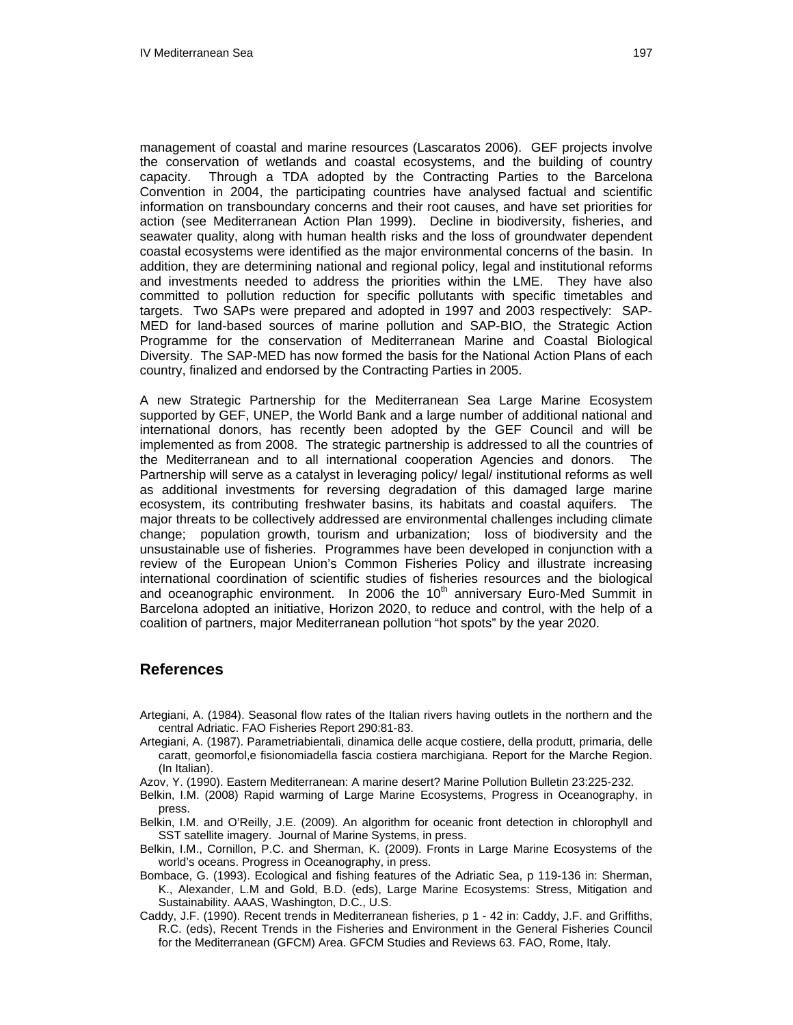management of coastal and marine resources (Lascaratos 2006). GEF projects involve the conservation of wetlands and coastal ecosystems, and the building of country capacity. Through a TDA adopted by the Contracting Parties to the Barcelona Convention in 2004, the participating countries have analysed factual and scientific information on transboundary concerns and their root causes, and have set priorities for action (see Mediterranean Action Plan 1999). Decline in biodiversity, fisheries, and seawater quality, along with human health risks and the loss of groundwater dependent coastal ecosystems were identified as the major environmental concerns of the basin. In addition, they are determining national and regional policy, legal and institutional reforms and investments needed to address the priorities within the LME. They have also committed to pollution reduction for specific pollutants with specific timetables and targets. Two SAPs were prepared and adopted in 1997 and 2003 respectively: SAP-MED for land-based sources of marine pollution and SAP-BIO, the Strategic Action Programme for the conservation of Mediterranean Marine and Coastal Biological Diversity. The SAP-MED has now formed the basis for the National Action Plans of each country, finalized and endorsed by the Contracting Parties in 2005.

A new Strategic Partnership for the Mediterranean Sea Large Marine Ecosystem supported by GEF, UNEP, the World Bank and a large number of additional national and international donors, has recently been adopted by the GEF Council and will be implemented as from 2008. The strategic partnership is addressed to all the countries of the Mediterranean and to all international cooperation Agencies and donors. The Partnership will serve as a catalyst in leveraging policy/ legal/ institutional reforms as well as additional investments for reversing degradation of this damaged large marine ecosystem, its contributing freshwater basins, its habitats and coastal aquifers. The major threats to be collectively addressed are environmental challenges including climate change; population growth, tourism and urbanization; loss of biodiversity and the unsustainable use of fisheries. Programmes have been developed in conjunction with a review of the European Union's Common Fisheries Policy and illustrate increasing international coordination of scientific studies of fisheries resources and the biological and oceanographic environment. In 2006 the  $10<sup>th</sup>$  anniversary Euro-Med Summit in Barcelona adopted an initiative, Horizon 2020, to reduce and control, with the help of a coalition of partners, major Mediterranean pollution "hot spots" by the year 2020.

## **References**

- Artegiani, A. (1984). Seasonal flow rates of the Italian rivers having outlets in the northern and the central Adriatic. FAO Fisheries Report 290:81-83.
- Artegiani, A. (1987). Parametriabientali, dinamica delle acque costiere, della produtt, primaria, delle caratt, geomorfol,e fisionomiadella fascia costiera marchigiana. Report for the Marche Region. (In Italian).
- Azov, Y. (1990). Eastern Mediterranean: A marine desert? Marine Pollution Bulletin 23:225-232.
- Belkin, I.M. (2008) Rapid warming of Large Marine Ecosystems, Progress in Oceanography, in press.
- Belkin, I.M. and O'Reilly, J.E. (2009). An algorithm for oceanic front detection in chlorophyll and SST satellite imagery. Journal of Marine Systems, in press.
- Belkin, I.M., Cornillon, P.C. and Sherman, K. (2009). Fronts in Large Marine Ecosystems of the world's oceans. Progress in Oceanography, in press.
- Bombace, G. (1993). Ecological and fishing features of the Adriatic Sea, p 119-136 in: Sherman, K., Alexander, L.M and Gold, B.D. (eds), Large Marine Ecosystems: Stress, Mitigation and Sustainability. AAAS, Washington, D.C., U.S.
- Caddy, J.F. (1990). Recent trends in Mediterranean fisheries, p 1 42 in: Caddy, J.F. and Griffiths, R.C. (eds), Recent Trends in the Fisheries and Environment in the General Fisheries Council for the Mediterranean (GFCM) Area. GFCM Studies and Reviews 63. FAO, Rome, Italy.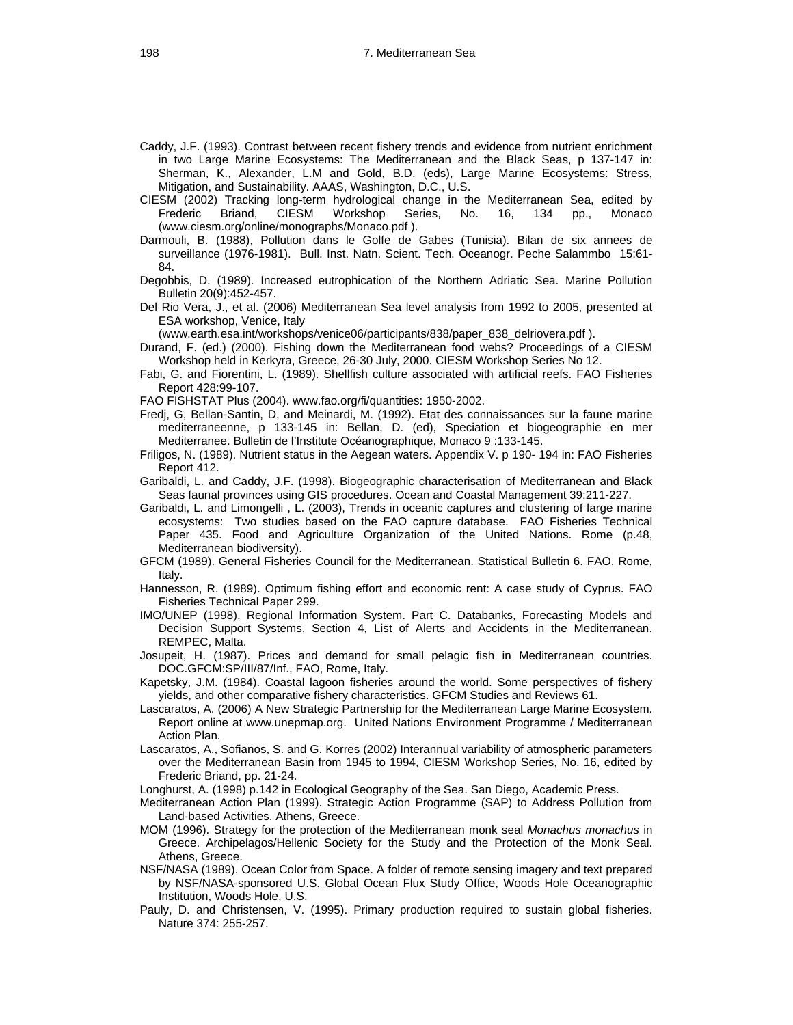- Caddy, J.F. (1993). Contrast between recent fishery trends and evidence from nutrient enrichment in two Large Marine Ecosystems: The Mediterranean and the Black Seas, p 137-147 in: Sherman, K., Alexander, L.M and Gold, B.D. (eds), Large Marine Ecosystems: Stress, Mitigation, and Sustainability. AAAS, Washington, D.C., U.S.
- CIESM (2002) Tracking long-term hydrological change in the Mediterranean Sea, edited by Frederic Briand, CIESM Workshop Series, No. 16, 134 pp., Monaco (www.ciesm.org/online/monographs/Monaco.pdf ).
- Darmouli, B. (1988), Pollution dans le Golfe de Gabes (Tunisia). Bilan de six annees de surveillance (1976-1981). Bull. Inst. Natn. Scient. Tech. Oceanogr. Peche Salammbo 15:61- 84.
- Degobbis, D. (1989). Increased eutrophication of the Northern Adriatic Sea. Marine Pollution Bulletin 20(9):452-457.
- Del Rio Vera, J., et al. (2006) Mediterranean Sea level analysis from 1992 to 2005, presented at ESA workshop, Venice, Italy

[\(www.earth.esa.int/workshops/venice06/participants/838/paper\\_838\\_delriovera.pdf](http://www.earth.esa.int/workshops/venice06/participants/838/paper_838_delriovera.pdf)).

Durand, F. (ed.) (2000). Fishing down the Mediterranean food webs? Proceedings of a CIESM Workshop held in Kerkyra, Greece, 26-30 July, 2000. CIESM Workshop Series No 12.

Fabi, G. and Fiorentini, L. (1989). Shellfish culture associated with artificial reefs. FAO Fisheries Report 428:99-107.

FAO FISHSTAT Plus (2004). www.fao.org/fi/quantities: 1950-2002.

- Fredj, G, Bellan-Santin, D, and Meinardi, M. (1992). Etat des connaissances sur la faune marine mediterraneenne, p 133-145 in: Bellan, D. (ed), Speciation et biogeographie en mer Mediterranee. Bulletin de l'Institute Océanographique, Monaco 9 :133-145.
- Friligos, N. (1989). Nutrient status in the Aegean waters. Appendix V. p 190- 194 in: FAO Fisheries Report 412.
- Garibaldi, L. and Caddy, J.F. (1998). Biogeographic characterisation of Mediterranean and Black Seas faunal provinces using GIS procedures. Ocean and Coastal Management 39:211-227.
- Garibaldi, L. and Limongelli , L. (2003), Trends in oceanic captures and clustering of large marine ecosystems: Two studies based on the FAO capture database. FAO Fisheries Technical Paper 435. Food and Agriculture Organization of the United Nations. Rome (p.48, Mediterranean biodiversity).
- GFCM (1989). General Fisheries Council for the Mediterranean. Statistical Bulletin 6. FAO, Rome, Italy.
- Hannesson, R. (1989). Optimum fishing effort and economic rent: A case study of Cyprus. FAO Fisheries Technical Paper 299.
- IMO/UNEP (1998). Regional Information System. Part C. Databanks, Forecasting Models and Decision Support Systems, Section 4, List of Alerts and Accidents in the Mediterranean. REMPEC, Malta.
- Josupeit, H. (1987). Prices and demand for small pelagic fish in Mediterranean countries. DOC.GFCM:SP/III/87/Inf., FAO, Rome, Italy.
- Kapetsky, J.M. (1984). Coastal lagoon fisheries around the world. Some perspectives of fishery yields, and other comparative fishery characteristics. GFCM Studies and Reviews 61.
- Lascaratos, A. (2006) A New Strategic Partnership for the Mediterranean Large Marine Ecosystem. Report online at www.unepmap.org. United Nations Environment Programme / Mediterranean Action Plan.
- Lascaratos, A., Sofianos, S. and G. Korres (2002) Interannual variability of atmospheric parameters over the Mediterranean Basin from 1945 to 1994, CIESM Workshop Series, No. 16, edited by Frederic Briand, pp. 21-24.

Longhurst, A. (1998) p.142 in Ecological Geography of the Sea. San Diego, Academic Press.

- Mediterranean Action Plan (1999). Strategic Action Programme (SAP) to Address Pollution from Land-based Activities. Athens, Greece.
- MOM (1996). Strategy for the protection of the Mediterranean monk seal *Monachus monachus* in Greece. Archipelagos/Hellenic Society for the Study and the Protection of the Monk Seal. Athens, Greece.
- NSF/NASA (1989). Ocean Color from Space. A folder of remote sensing imagery and text prepared by NSF/NASA-sponsored U.S. Global Ocean Flux Study Office, Woods Hole Oceanographic Institution, Woods Hole, U.S.
- Pauly, D. and Christensen, V. (1995). Primary production required to sustain global fisheries. Nature 374: 255-257.